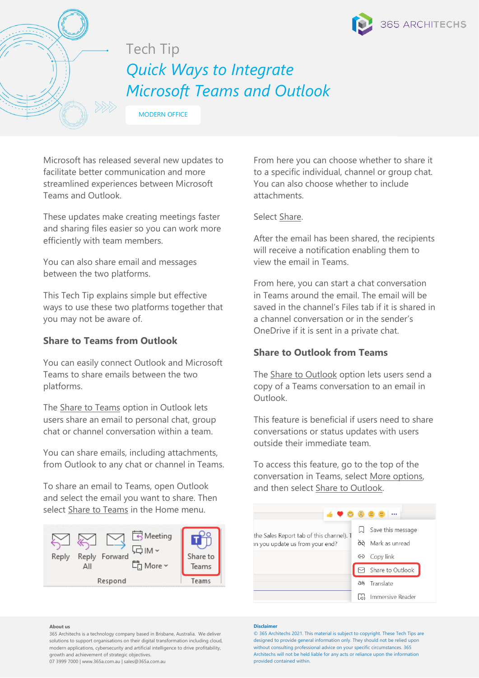

# Tech Tip *Quick Ways to Integrate Microsoft Teams and Outlook*

MODERN OFFICE

Microsoft has released several new updates to facilitate better communication and more streamlined experiences between Microsoft Teams and Outlook.

These updates make creating meetings faster and sharing files easier so you can work more efficiently with team members.

You can also share email and messages between the two platforms.

This Tech Tip explains simple but effective ways to use these two platforms together that you may not be aware of.

# **Share to Teams from Outlook**

You can easily connect Outlook and Microsoft Teams to share emails between the two platforms.

The **Share to Teams** option in Outlook lets users share an email to personal chat, group chat or channel conversation within a team.

You can share emails, including attachments, from Outlook to any chat or channel in Teams.

To share an email to Teams, open Outlook and select the email you want to share. Then select Share to Teams in the Home menu.



**About us**

365 Architechs is a technology company based in Brisbane, Australia. We deliver solutions to support organisations on their digital transformation including cloud, modern applications, cybersecurity and artificial intelligence to drive profitability, growth and achievement of strategic objectives.

07 3999 7000 | www.365a.com.au | sales@365a.com.au

From here you can choose whether to share it to a specific individual, channel or group chat. You can also choose whether to include attachments.

## Select Share.

After the email has been shared, the recipients will receive a notification enabling them to view the email in Teams.

From here, you can start a chat conversation in Teams around the email. The email will be saved in the channel's Files tab if it is shared in a channel conversation or in the sender's OneDrive if it is sent in a private chat.

# **Share to Outlook from Teams**

The Share to Outlook option lets users send a copy of a Teams conversation to an email in Outlook.

This feature is beneficial if users need to share conversations or status updates with users outside their immediate team.

To access this feature, go to the top of the conversation in Teams, select More options, and then select Share to Outlook.



#### **Disclaimer**

© 365 Architechs 2021. This material is subject to copyright. These Tech Tips are designed to provide general information only. They should not be relied upon without consulting professional advice on your specific circumstances. 365 Architechs will not be held liable for any acts or reliance upon the information provided contained within.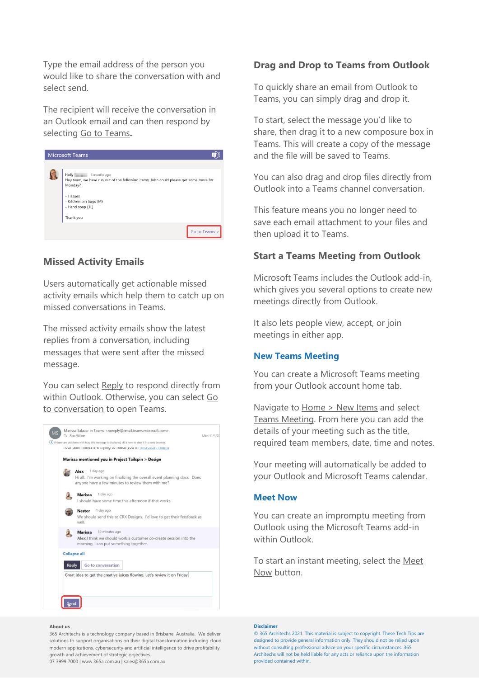Type the email address of the person you would like to share the conversation with and select send.

The recipient will receive the conversation in an Outlook email and can then respond by selecting Go to Teams**.** 



## **Missed Activity Emails**

Users automatically get actionable missed activity emails which help them to catch up on missed conversations in Teams.

The missed activity emails show the latest replies from a conversation, including messages that were sent after the missed message.

You can select Reply to respond directly from within Outlook. Otherwise, you can select Go to conversation to open Teams.



#### **Drag and Drop to Teams from Outlook**

To quickly share an email from Outlook to Teams, you can simply drag and drop it.

To start, select the message you'd like to share, then drag it to a new composure box in Teams. This will create a copy of the message and the file will be saved to Teams.

You can also drag and drop files directly from Outlook into a Teams channel conversation.

This feature means you no longer need to save each email attachment to your files and then upload it to Teams.

## **Start a Teams Meeting from Outlook**

Microsoft Teams includes the Outlook add-in, which gives you several options to create new meetings directly from Outlook.

It also lets people view, accept, or join meetings in either app.

## **New Teams Meeting**

You can create a Microsoft Teams meeting from your Outlook account home tab.

Navigate to Home > New Items and select Teams Meeting. From here you can add the details of your meeting such as the title, required team members, date, time and notes.

Your meeting will automatically be added to your Outlook and Microsoft Teams calendar.

### **Meet Now**

You can create an impromptu meeting from Outlook using the Microsoft Teams add-in within Outlook.

To start an instant meeting, select the Meet Now button.

#### **About us**

365 Architechs is a technology company based in Brisbane, Australia. We deliver solutions to support organisations on their digital transformation including cloud, modern applications, cybersecurity and artificial intelligence to drive profitability, growth and achievement of strategic objectives.

07 3999 7000 | www.365a.com.au | sales@365a.com.au

#### **Disclaimer**

© 365 Architechs 2021. This material is subject to copyright. These Tech Tips are designed to provide general information only. They should not be relied upon without consulting professional advice on your specific circumstances. 365 Architechs will not be held liable for any acts or reliance upon the information provided contained within.